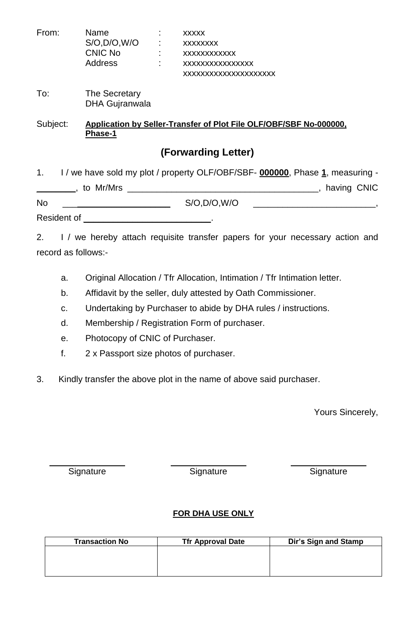| From:               | Name<br>S/O, D/O, W/O<br>CNIC No<br>and the state of the<br><b>Address</b>                                      | <b>XXXXX</b><br><b>XXXXXXXX</b><br><b>XXXXXXXXXXXX</b><br>XXXXXXXXXXXXXXX<br>XXXXXXXXXXXXXXXXXXXXX |
|---------------------|-----------------------------------------------------------------------------------------------------------------|----------------------------------------------------------------------------------------------------|
| To:                 | The Secretary<br><b>DHA Gujranwala</b>                                                                          |                                                                                                    |
| Subject:            | Phase-1                                                                                                         | Application by Seller-Transfer of Plot File OLF/OBF/SBF No-000000,                                 |
|                     |                                                                                                                 | (Forwarding Letter)                                                                                |
|                     |                                                                                                                 | 1. I / we have sold my plot / property OLF/OBF/SBF- 000000, Phase 1, measuring -                   |
|                     |                                                                                                                 |                                                                                                    |
| No.                 |                                                                                                                 | S/O, D/O, W/O                                                                                      |
|                     | Resident of European Communications and Communications and Communications and Communications and Communications |                                                                                                    |
| record as follows:- |                                                                                                                 | 2. I / we hereby attach requisite transfer papers for your necessary action and                    |

- a. Original Allocation / Tfr Allocation, Intimation / Tfr Intimation letter.
- b. Affidavit by the seller, duly attested by Oath Commissioner.
- c. Undertaking by Purchaser to abide by DHA rules / instructions.
- d. Membership / Registration Form of purchaser.
- e. Photocopy of CNIC of Purchaser.
- f. 2 x Passport size photos of purchaser.
- 3. Kindly transfer the above plot in the name of above said purchaser.

Yours Sincerely,

Signature Signature Signature Signature Signature

# **FOR DHA USE ONLY**

| <b>Transaction No</b> | <b>Tfr Approval Date</b> | Dir's Sign and Stamp |
|-----------------------|--------------------------|----------------------|
|                       |                          |                      |
|                       |                          |                      |
|                       |                          |                      |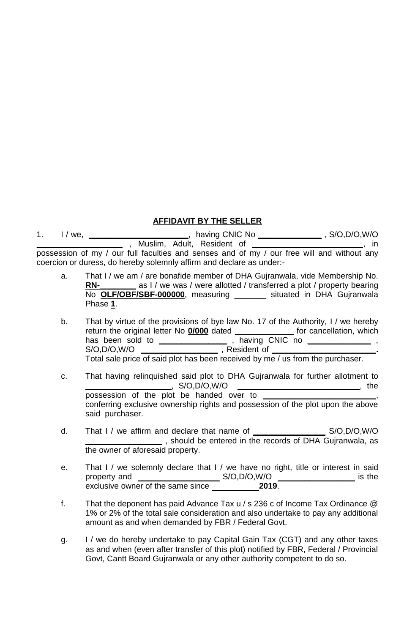## **AFFIDAVIT BY THE SELLER**

1. I / we, **\_\_\_\_\_\_\_\_\_\_\_\_\_\_\_\_\_\_\_\_\_\_**,having CNIC No **\_\_\_\_\_\_\_\_\_\_\_\_\_\_** , S/O,D/O,W/O **\_\_\_\_\_\_\_\_\_\_\_\_\_\_\_\_\_\_\_** , Muslim, Adult, Resident of **\_\_\_\_\_\_\_\_\_\_\_\_\_\_\_\_\_\_\_\_\_\_\_** , in possession of my / our full faculties and senses and of my / our free will and without any coercion or duress, do hereby solemnly affirm and declare as under:-

- a. That I / we am / are bonafide member of DHA Gujranwala, vide Membership No. **RN-** as I / we was / were allotted / transferred a plot / property bearing No **OLF/OBF/SBF-000000**, measuring \_\_\_\_\_\_\_ situated in DHA Gujranwala Phase **1**.
- b. That by virtue of the provisions of bye law No. 17 of the Authority, I / we hereby return the original letter No **0/000** dated **\_\_\_\_\_\_\_\_\_\_\_\_\_** for cancellation, which has been sold to **\_\_\_\_\_\_\_\_\_\_\_\_\_\_\_** , having CNIC no **\_\_\_\_\_\_\_\_\_\_\_\_\_\_** , S/O,D/O,W/O **\_\_\_\_\_\_\_\_\_\_\_\_\_\_\_\_\_** , Resident of **\_\_\_\_\_\_\_\_\_\_\_\_\_\_\_\_\_\_\_\_\_\_\_.** Total sale price of said plot has been received by me / us from the purchaser.
- c. That having relinquished said plot to DHA Gujranwala for further allotment to **\_\_\_\_\_\_\_\_\_\_\_\_\_\_\_\_\_\_\_**, S/O,D/O,W/O **\_\_\_\_\_\_\_\_\_\_\_\_\_\_\_\_\_\_\_\_\_\_\_\_\_\_\_**, the possession of the plot be handed over to **\_\_\_\_\_\_\_\_\_\_\_\_\_\_\_\_\_\_\_\_\_\_\_\_\_**, conferring exclusive ownership rights and possession of the plot upon the above said purchaser.
- d. That I / we affirm and declare that name of **\_\_\_\_\_\_\_\_\_\_\_\_\_\_\_\_** S/O,D/O,W/O **EXECUTE:** , should be entered in the records of DHA Gujranwala, as the owner of aforesaid property.
- e. That I / we solemnly declare that I / we have no right, title or interest in said property and **\_\_\_\_\_\_\_\_\_\_\_\_\_\_\_\_\_\_** S/O,D/O,W/O **\_\_\_\_\_\_\_\_\_\_\_\_\_\_\_\_\_** is the exclusive owner of the same since **1991-19 12019**.
- f. That the deponent has paid Advance Tax u / s 236 c of Income Tax Ordinance @ 1% or 2% of the total sale consideration and also undertake to pay any additional amount as and when demanded by FBR / Federal Govt.
- g. I / we do hereby undertake to pay Capital Gain Tax (CGT) and any other taxes as and when (even after transfer of this plot) notified by FBR, Federal / Provincial Govt, Cantt Board Gujranwala or any other authority competent to do so.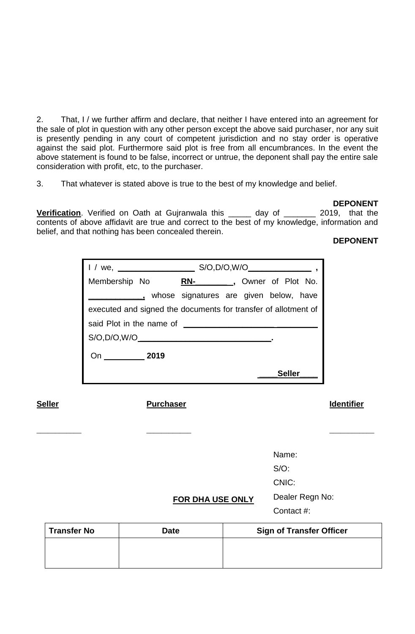2. That, I / we further affirm and declare, that neither I have entered into an agreement for the sale of plot in question with any other person except the above said purchaser, nor any suit is presently pending in any court of competent jurisdiction and no stay order is operative against the said plot. Furthermore said plot is free from all encumbrances. In the event the above statement is found to be false, incorrect or untrue, the deponent shall pay the entire sale consideration with profit, etc, to the purchaser.

3. That whatever is stated above is true to the best of my knowledge and belief.

#### **DEPONENT**

**Verification**. Verified on Oath at Gujranwala this \_\_\_\_\_ day of \_\_\_\_\_\_\_ 2019, that the contents of above affidavit are true and correct to the best of my knowledge, information and belief, and that nothing has been concealed therein.

### **DEPONENT**

| we,                      | S/O, D/O, W/O                                                  |  |  |  |  |
|--------------------------|----------------------------------------------------------------|--|--|--|--|
| Membership No            | __, Owner of Plot No.<br>RN-                                   |  |  |  |  |
|                          | whose signatures are given below, have                         |  |  |  |  |
|                          | executed and signed the documents for transfer of allotment of |  |  |  |  |
| said Plot in the name of |                                                                |  |  |  |  |
| S/O, D/O, W/O            |                                                                |  |  |  |  |
| 2019<br>On               |                                                                |  |  |  |  |
|                          | Seller                                                         |  |  |  |  |

\_\_\_\_\_\_\_\_\_\_\_\_ \_\_\_\_\_\_\_\_\_\_\_\_ \_\_\_\_\_\_\_\_\_\_\_\_

# **Seller Purchaser Identifier**

Name: S/O:

CNIC:

Dealer Regn No:

Contact #:

| Transfer No | <b>Date</b> | <b>Sign of Transfer Officer</b> |
|-------------|-------------|---------------------------------|
|             |             |                                 |
|             |             |                                 |

**FOR DHA USE ONLY**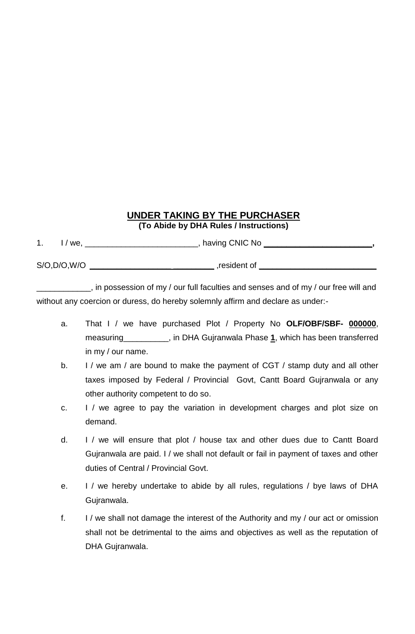# **UNDER TAKING BY THE PURCHASER (To Abide by DHA Rules / Instructions)**

1. I / we, \_\_\_\_\_\_\_\_\_\_\_\_\_\_\_\_\_\_\_\_\_\_\_\_\_\_, having CNIC No \_\_\_\_\_\_\_\_\_\_\_\_\_\_\_\_\_\_\_\_\_\_\_\_\_\_

S/O,D/O,W/O **\_\_\_\_\_\_\_\_\_\_\_\_\_\_\_\_\_\_ \_\_\_\_\_\_\_\_\_** ,resident of **\_\_\_\_\_\_\_\_\_\_\_\_\_\_\_\_\_\_\_\_\_\_\_\_\_\_**

\_\_\_\_\_\_\_\_\_\_\_\_, in possession of my / our full faculties and senses and of my / our free will and without any coercion or duress, do hereby solemnly affirm and declare as under:-

- a. That I / we have purchased Plot / Property No **OLF/OBF/SBF- 000000**, measuring\_\_\_\_\_\_\_\_\_\_, in DHA Gujranwala Phase **1**, which has been transferred in my / our name.
- b. I / we am / are bound to make the payment of CGT / stamp duty and all other taxes imposed by Federal / Provincial Govt, Cantt Board Gujranwala or any other authority competent to do so.
- c. I / we agree to pay the variation in development charges and plot size on demand.
- d. I / we will ensure that plot / house tax and other dues due to Cantt Board Gujranwala are paid. I / we shall not default or fail in payment of taxes and other duties of Central / Provincial Govt.
- e. I / we hereby undertake to abide by all rules, regulations / bye laws of DHA Gujranwala.
- f. I / we shall not damage the interest of the Authority and my / our act or omission shall not be detrimental to the aims and objectives as well as the reputation of DHA Gujranwala.